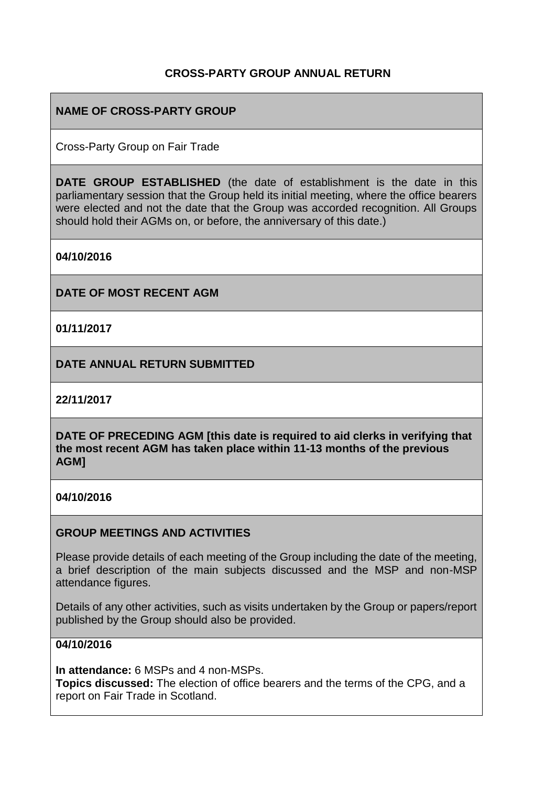# **CROSS-PARTY GROUP ANNUAL RETURN**

# **NAME OF CROSS-PARTY GROUP**

Cross-Party Group on Fair Trade

**DATE GROUP ESTABLISHED** (the date of establishment is the date in this parliamentary session that the Group held its initial meeting, where the office bearers were elected and not the date that the Group was accorded recognition. All Groups should hold their AGMs on, or before, the anniversary of this date.)

**04/10/2016**

**DATE OF MOST RECENT AGM**

**01/11/2017**

**DATE ANNUAL RETURN SUBMITTED**

**22/11/2017**

**DATE OF PRECEDING AGM [this date is required to aid clerks in verifying that the most recent AGM has taken place within 11-13 months of the previous AGM]**

#### **04/10/2016**

#### **GROUP MEETINGS AND ACTIVITIES**

Please provide details of each meeting of the Group including the date of the meeting, a brief description of the main subjects discussed and the MSP and non-MSP attendance figures.

Details of any other activities, such as visits undertaken by the Group or papers/report published by the Group should also be provided.

#### **04/10/2016**

**In attendance:** 6 MSPs and 4 non-MSPs.

**Topics discussed:** The election of office bearers and the terms of the CPG, and a report on Fair Trade in Scotland.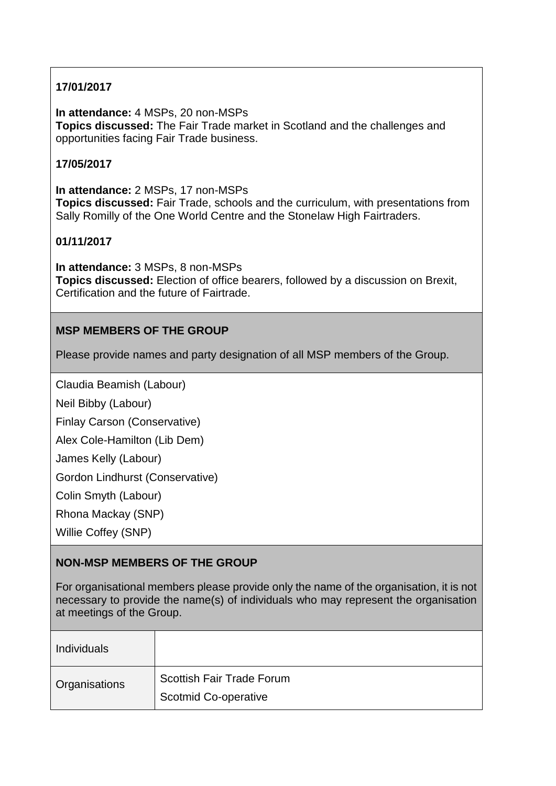# **17/01/2017**

**In attendance:** 4 MSPs, 20 non-MSPs **Topics discussed:** The Fair Trade market in Scotland and the challenges and opportunities facing Fair Trade business.

#### **17/05/2017**

**In attendance:** 2 MSPs, 17 non-MSPs **Topics discussed:** Fair Trade, schools and the curriculum, with presentations from Sally Romilly of the One World Centre and the Stonelaw High Fairtraders.

#### **01/11/2017**

**In attendance:** 3 MSPs, 8 non-MSPs **Topics discussed:** Election of office bearers, followed by a discussion on Brexit, Certification and the future of Fairtrade.

# **MSP MEMBERS OF THE GROUP**

Please provide names and party designation of all MSP members of the Group.

Claudia Beamish (Labour)

Neil Bibby (Labour)

Finlay Carson (Conservative)

Alex Cole-Hamilton (Lib Dem)

James Kelly (Labour)

Gordon Lindhurst (Conservative)

Colin Smyth (Labour)

Rhona Mackay (SNP)

Willie Coffey (SNP)

# **NON-MSP MEMBERS OF THE GROUP**

For organisational members please provide only the name of the organisation, it is not necessary to provide the name(s) of individuals who may represent the organisation at meetings of the Group.

| <b>Individuals</b> |                                                          |
|--------------------|----------------------------------------------------------|
| Organisations      | Scottish Fair Trade Forum<br><b>Scotmid Co-operative</b> |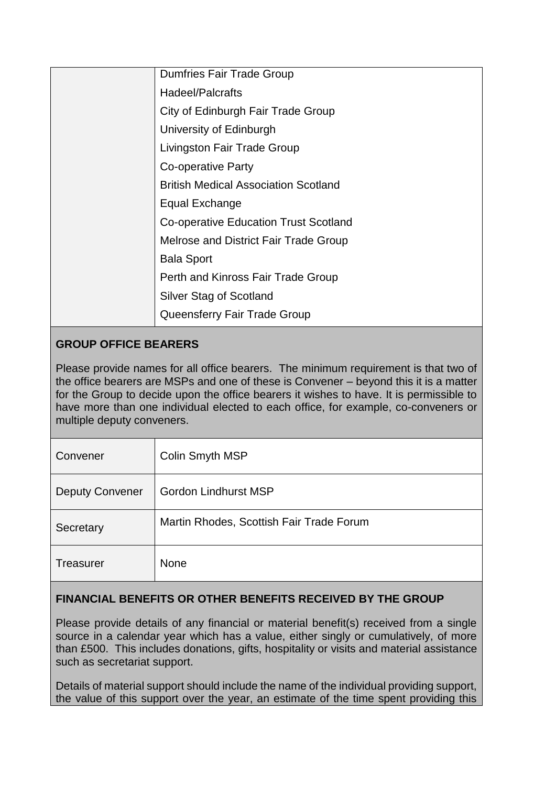| <b>Dumfries Fair Trade Group</b>            |
|---------------------------------------------|
| Hadeel/Palcrafts                            |
| City of Edinburgh Fair Trade Group          |
| University of Edinburgh                     |
| Livingston Fair Trade Group                 |
| Co-operative Party                          |
| <b>British Medical Association Scotland</b> |
| Equal Exchange                              |
| Co-operative Education Trust Scotland       |
| Melrose and District Fair Trade Group       |
| <b>Bala Sport</b>                           |
| Perth and Kinross Fair Trade Group          |
| Silver Stag of Scotland                     |
| Queensferry Fair Trade Group                |

# **GROUP OFFICE BEARERS**

Please provide names for all office bearers. The minimum requirement is that two of the office bearers are MSPs and one of these is Convener – beyond this it is a matter for the Group to decide upon the office bearers it wishes to have. It is permissible to have more than one individual elected to each office, for example, co-conveners or multiple deputy conveners.

| Convener               | Colin Smyth MSP                          |
|------------------------|------------------------------------------|
| <b>Deputy Convener</b> | <b>Gordon Lindhurst MSP</b>              |
| Secretary              | Martin Rhodes, Scottish Fair Trade Forum |
| <b>Treasurer</b>       | <b>None</b>                              |

# **FINANCIAL BENEFITS OR OTHER BENEFITS RECEIVED BY THE GROUP**

Please provide details of any financial or material benefit(s) received from a single source in a calendar year which has a value, either singly or cumulatively, of more than £500. This includes donations, gifts, hospitality or visits and material assistance such as secretariat support.

Details of material support should include the name of the individual providing support, the value of this support over the year, an estimate of the time spent providing this